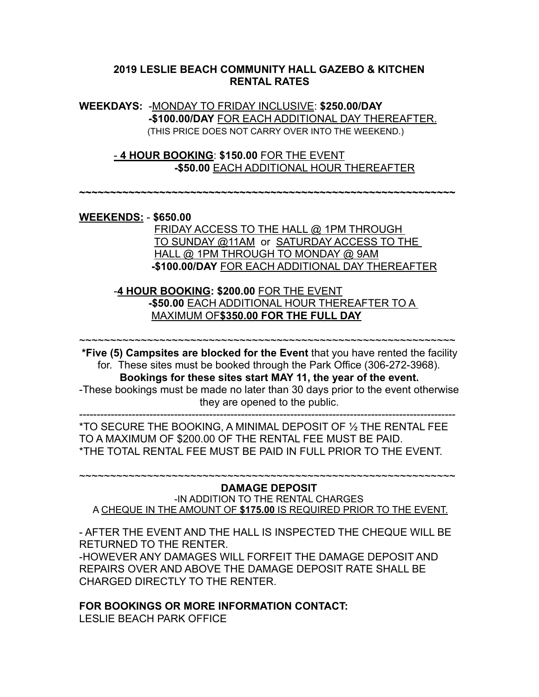### **2019 LESLIE BEACH COMMUNITY HALL GAZEBO & KITCHEN RENTAL RATES**

**WEEKDAYS:** -MONDAY TO FRIDAY INCLUSIVE: **\$250.00/DAY -\$100.00/DAY** FOR EACH ADDITIONAL DAY THEREAFTER. (THIS PRICE DOES NOT CARRY OVER INTO THE WEEKEND.)

 - **4 HOUR BOOKING**: **\$150.00** FOR THE EVENT **-\$50.00** EACH ADDITIONAL HOUR THEREAFTER

**~~~~~~~~~~~~~~~~~~~~~~~~~~~~~~~~~~~~~~~~~~~~~~~~~~~~~~~~~~~~~** 

#### **WEEKENDS:** - **\$650.00**

 FRIDAY ACCESS TO THE HALL @ 1PM THROUGH TO SUNDAY @11AM or SATURDAY ACCESS TO THE HALL @ 1PM THROUGH TO MONDAY @ 9AM **-\$100.00/DAY** FOR EACH ADDITIONAL DAY THEREAFTER

 -**4 HOUR BOOKING: \$200.00** FOR THE EVENT **-\$50.00** EACH ADDITIONAL HOUR THEREAFTER TO A MAXIMUM OF**\$350.00 FOR THE FULL DAY**

**\*Five (5) Campsites are blocked for the Event** that you have rented the facility for. These sites must be booked through the Park Office (306-272-3968). **Bookings for these sites start MAY 11, the year of the event.** -These bookings must be made no later than 30 days prior to the event otherwise they are opened to the public. -----------------------------------------------------------------------------------------------------------

~~~~~~~~~~~~~~~~~~~~~~~~~~~~~~~~~~~~~~~~~~~~~~~~~~~~~~~~~~~~~

\*TO SECURE THE BOOKING, A MINIMAL DEPOSIT OF ½ THE RENTAL FEE TO A MAXIMUM OF \$200.00 OF THE RENTAL FEE MUST BE PAID. \*THE TOTAL RENTAL FEE MUST BE PAID IN FULL PRIOR TO THE EVENT.

#### ~~~~~~~~~~~~~~~~~~~~~~~~~~~~~~~~~~~~~~~~~~~~~~~~~~~~~~~~~~~~~ **DAMAGE DEPOSIT**

-IN ADDITION TO THE RENTAL CHARGES A CHEQUE IN THE AMOUNT OF **\$175.00** IS REQUIRED PRIOR TO THE EVENT.

- AFTER THE EVENT AND THE HALL IS INSPECTED THE CHEQUE WILL BE RETURNED TO THE RENTER.

-HOWEVER ANY DAMAGES WILL FORFEIT THE DAMAGE DEPOSIT AND REPAIRS OVER AND ABOVE THE DAMAGE DEPOSIT RATE SHALL BE CHARGED DIRECTLY TO THE RENTER.

#### **FOR BOOKINGS OR MORE INFORMATION CONTACT:**

LESLIE BEACH PARK OFFICE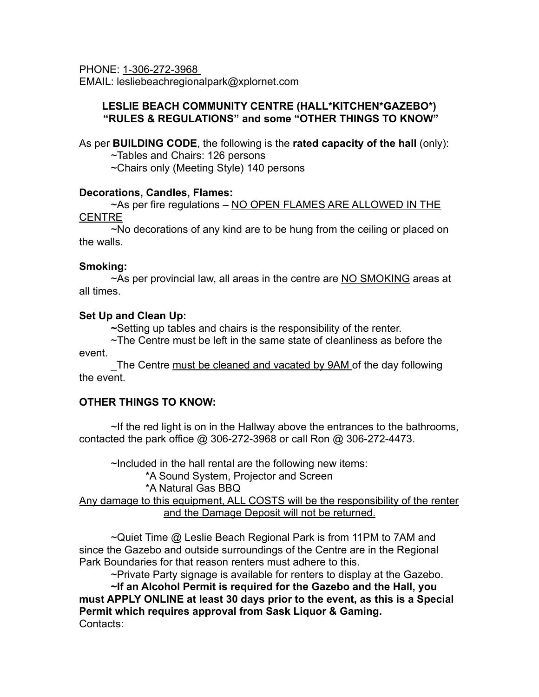PHONE: 1-306-272-3968 EMAIL: lesliebeachregionalpark@xplornet.com

### **LESLIE BEACH COMMUNITY CENTRE (HALL\*KITCHEN\*GAZEBO\*) "RULES & REGULATIONS" and some "OTHER THINGS TO KNOW"**

As per **BUILDING CODE**, the following is the **rated capacity of the hall** (only):

~Tables and Chairs: 126 persons

~Chairs only (Meeting Style) 140 persons

## **Decorations, Candles, Flames:**

~As per fire regulations - NO OPEN FLAMES ARE ALLOWED IN THE **CENTRE** 

 ~No decorations of any kind are to be hung from the ceiling or placed on the walls.

## **Smoking:**

~As per provincial law, all areas in the centre are NO SMOKING areas at all times.

# **Set Up and Clean Up:**

 **~**Setting up tables and chairs is the responsibility of the renter.

 ~The Centre must be left in the same state of cleanliness as before the event.

The Centre must be cleaned and vacated by 9AM of the day following the event.

# **OTHER THINGS TO KNOW:**

 ~If the red light is on in the Hallway above the entrances to the bathrooms, contacted the park office @ 306-272-3968 or call Ron @ 306-272-4473.

 ~Included in the hall rental are the following new items: \*A Sound System, Projector and Screen

## \*A Natural Gas BBQ

Any damage to this equipment, ALL COSTS will be the responsibility of the renter and the Damage Deposit will not be returned.

 ~Quiet Time @ Leslie Beach Regional Park is from 11PM to 7AM and since the Gazebo and outside surroundings of the Centre are in the Regional Park Boundaries for that reason renters must adhere to this.

~Private Party signage is available for renters to display at the Gazebo.

**~If an Alcohol Permit is required for the Gazebo and the Hall, you must APPLY ONLINE at least 30 days prior to the event, as this is a Special Permit which requires approval from Sask Liquor & Gaming.**  Contacts: